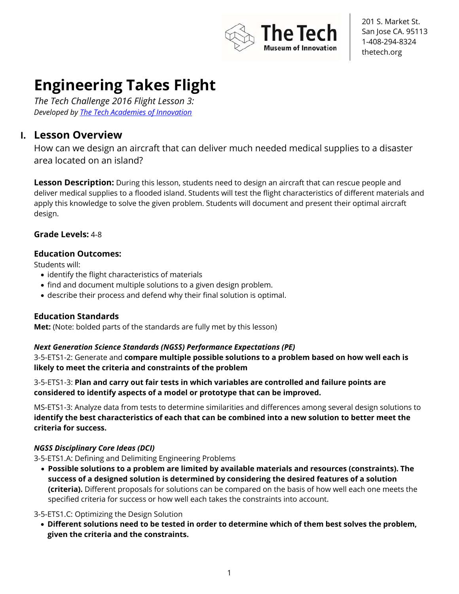

# **Engineering Takes Flight**

*The Tech Challenge 2016 Flight Lesson 3: Developed by The Tech Academies of Innovation*

### **I. Lesson Overview**

How can we design an aircraft that can deliver much needed medical supplies to a disaster area located on an island?

**Lesson Description:** During this lesson, students need to design an aircraft that can rescue people and deliver medical supplies to a flooded island. Students will test the flight characteristics of different materials and apply this knowledge to solve the given problem. Students will document and present their optimal aircraft design.

#### **Grade Levels:** 4-8

#### **Education Outcomes:**

Students will:

- identify the flight characteristics of materials
- find and document multiple solutions to a given design problem.
- describe their process and defend why their final solution is optimal.

#### **Education Standards**

**Met:** (Note: bolded parts of the standards are fully met by this lesson)

#### *Next Generation Science Standards (NGSS) Performance Expectations (PE)*

3-5-ETS1-2: Generate and **compare multiple possible solutions to a problem based on how well each is likely to meet the criteria and constraints of the problem**

3-5-ETS1-3: **Plan and carry out fair tests in which variables are controlled and failure points are considered to identify aspects of a model or prototype that can be improved.** 

MS-ETS1-3: Analyze data from tests to determine similarities and differences among several design solutions to **identify the best characteristics of each that can be combined into a new solution to better meet the criteria for success.** 

#### *NGSS Disciplinary Core Ideas (DCI)*

3-5-ETS1.A: Defining and Delimiting Engineering Problems

• **Possible solutions to a problem are limited by available materials and resources (constraints). The success of a designed solution is determined by considering the desired features of a solution (criteria).** Different proposals for solutions can be compared on the basis of how well each one meets the specified criteria for success or how well each takes the constraints into account.

#### 3-5-ETS1.C: Optimizing the Design Solution

• **Different solutions need to be tested in order to determine which of them best solves the problem, given the criteria and the constraints.**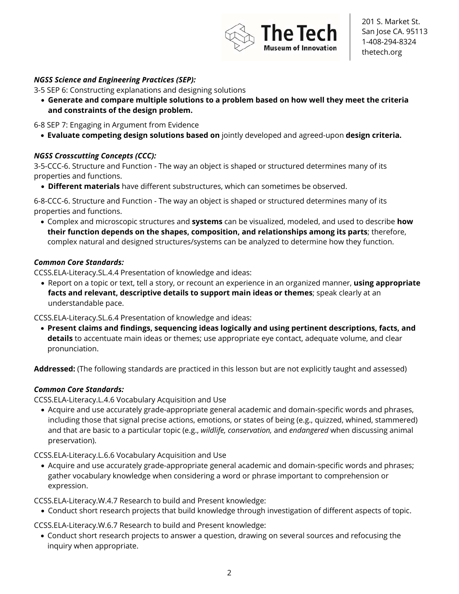

#### *NGSS Science and Engineering Practices (SEP):*

3-5 SEP 6: Constructing explanations and designing solutions

• **Generate and compare multiple solutions to a problem based on how well they meet the criteria and constraints of the design problem.** 

6-8 SEP 7: Engaging in Argument from Evidence

• **Evaluate competing design solutions based on** jointly developed and agreed-upon **design criteria.** 

#### *NGSS Crosscutting Concepts (CCC):*

3-5-CCC-6. Structure and Function - The way an object is shaped or structured determines many of its properties and functions.

• **Different materials** have different substructures, which can sometimes be observed.

6-8-CCC-6. Structure and Function - The way an object is shaped or structured determines many of its properties and functions.

• Complex and microscopic structures and **systems** can be visualized, modeled, and used to describe **how their function depends on the shapes, composition, and relationships among its parts**; therefore, complex natural and designed structures/systems can be analyzed to determine how they function.

#### *Common Core Standards:*

CCSS.ELA-Literacy.SL.4.4 Presentation of knowledge and ideas:

• Report on a topic or text, tell a story, or recount an experience in an organized manner, **using appropriate facts and relevant, descriptive details to support main ideas or themes**; speak clearly at an understandable pace.

CCSS.ELA-Literacy.SL.6.4 Presentation of knowledge and ideas:

• **Present claims and findings, sequencing ideas logically and using pertinent descriptions, facts, and details** to accentuate main ideas or themes; use appropriate eye contact, adequate volume, and clear pronunciation.

**Addressed:** (The following standards are practiced in this lesson but are not explicitly taught and assessed)

#### *Common Core Standards:*

CCSS.ELA-Literacy.L.4.6 Vocabulary Acquisition and Use

• Acquire and use accurately grade-appropriate general academic and domain-specific words and phrases, including those that signal precise actions, emotions, or states of being (e.g., quizzed, whined, stammered) and that are basic to a particular topic (e.g., *wildlife, conservation,* and *endangered* when discussing animal preservation).

CCSS.ELA-Literacy.L.6.6 Vocabulary Acquisition and Use

• Acquire and use accurately grade-appropriate general academic and domain-specific words and phrases; gather vocabulary knowledge when considering a word or phrase important to comprehension or expression.

CCSS.ELA-Literacy.W.4.7 Research to build and Present knowledge:

• Conduct short research projects that build knowledge through investigation of different aspects of topic.

CCSS.ELA-Literacy.W.6.7 Research to build and Present knowledge:

• Conduct short research projects to answer a question, drawing on several sources and refocusing the inquiry when appropriate.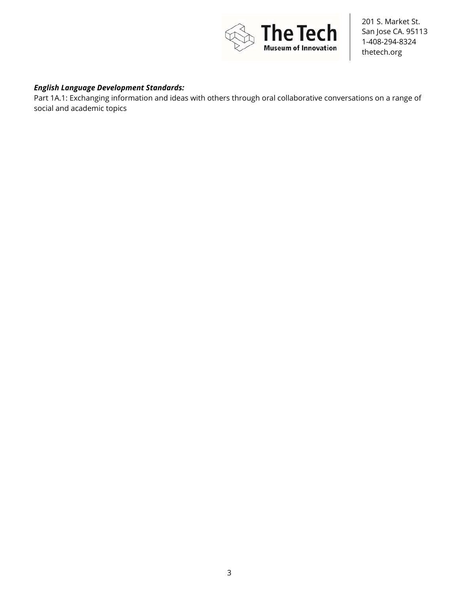

#### *English Language Development Standards:*

Part 1A.1: Exchanging information and ideas with others through oral collaborative conversations on a range of social and academic topics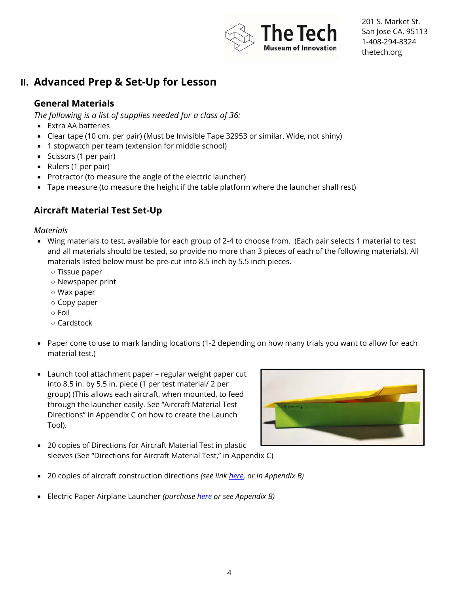

### **II. Advanced Prep & Set-Up for Lesson**

#### **General Materials**

*The following is a list of supplies needed for a class of 36:* 

- Extra AA batteries
- Clear tape (10 cm. per pair) (Must be Invisible Tape 32953 or similar. Wide, not shiny)
- 1 stopwatch per team (extension for middle school)
- Scissors (1 per pair)
- Rulers (1 per pair)
- Protractor (to measure the angle of the electric launcher)
- Tape measure (to measure the height if the table platform where the launcher shall rest)

### **Aircraft Material Test Set-Up**

#### *Materials*

- Wing materials to test, available for each group of 2-4 to choose from. (Each pair selects 1 material to test and all materials should be tested, so provide no more than 3 pieces of each of the following materials). All materials listed below must be pre-cut into 8.5 inch by 5.5 inch pieces.
	- Tissue paper
	- Newspaper print
	- Wax paper
	- Copy paper
	- Foil
	- Cardstock
- Paper cone to use to mark landing locations (1-2 depending on how many trials you want to allow for each material test.)
- Launch tool attachment paper regular weight paper cut into 8.5 in. by 5.5 in. piece (1 per test material/ 2 per group) (This allows each aircraft, when mounted, to feed through the launcher easily. See "Aircraft Material Test Directions" in Appendix C on how to create the Launch Tool).



- 20 copies of Directions for Aircraft Material Test in plastic sleeves (See "Directions for Aircraft Material Test," in Appendix C)
- 20 copies of aircraft construction directions *(see link here, or in Appendix B)*
- Electric Paper Airplane Launcher *(purchase here or see Appendix B)*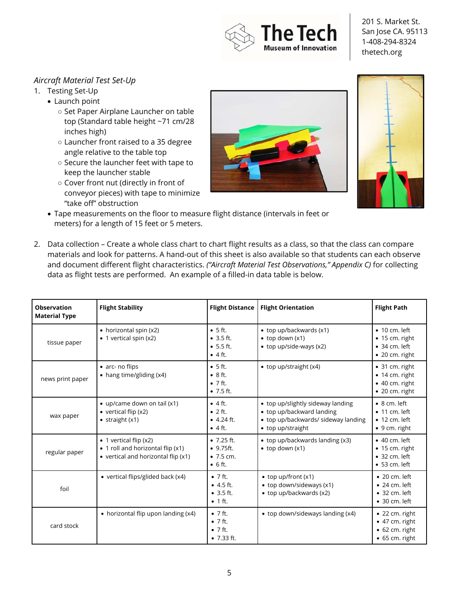

#### *Aircraft Material Test Set-Up*

- 1. Testing Set-Up
	- Launch point
		- Set Paper Airplane Launcher on table top (Standard table height ~71 cm/28 inches high)
		- Launcher front raised to a 35 degree angle relative to the table top
		- Secure the launcher feet with tape to keep the launcher stable
		- Cover front nut (directly in front of conveyor pieces) with tape to minimize "take off" obstruction





- Tape measurements on the floor to measure flight distance (intervals in feet or meters) for a length of 15 feet or 5 meters.
- 2. Data collection Create a whole class chart to chart flight results as a class, so that the class can compare materials and look for patterns. A hand-out of this sheet is also available so that students can each observe and document different flight characteristics. *("Aircraft Material Test Observations," Appendix C)* for collecting data as flight tests are performed. An example of a filled-in data table is below.

| <b>Observation</b><br><b>Material Type</b> | <b>Flight Stability</b>                                                                                            | <b>Flight Distance</b>                                                      | <b>Flight Orientation</b>                                                                                                  | <b>Flight Path</b>                                                                                 |
|--------------------------------------------|--------------------------------------------------------------------------------------------------------------------|-----------------------------------------------------------------------------|----------------------------------------------------------------------------------------------------------------------------|----------------------------------------------------------------------------------------------------|
| tissue paper                               | • horizontal spin (x2)<br>$\bullet$ 1 vertical spin (x2)                                                           | $\bullet$ 5 ft.<br>• 3.5 ft.<br>• 5.5 ft.<br>$\bullet$ 4 ft.                | • top up/backwards (x1)<br>$\bullet$ top down (x1)<br>• top up/side-ways (x2)                                              | $\bullet$ 10 cm. left<br>$\bullet$ 15 cm. right<br>$\bullet$ 34 cm. left<br>$\bullet$ 20 cm. right |
| news print paper                           | • arc- no flips<br>• hang time/gliding (x4)                                                                        | $\bullet$ 5 ft.<br>$\bullet$ 8 ft.<br>$\bullet$ 7 ft.<br>$•7.5 \text{ ft.}$ | • top up/straight $(x4)$                                                                                                   | $\bullet$ 31 cm. right<br>• 14 cm. right<br>$\bullet$ 40 cm. right<br>· 20 cm. right               |
| wax paper                                  | • up/came down on tail $(x1)$<br>• vertical flip $(x2)$<br>$\bullet$ straight $(x1)$                               | $\bullet$ 4 ft.<br>$\bullet$ 2 ft.<br>$-4.24$ ft.<br>$\bullet$ 4 ft.        | • top up/slightly sideway landing<br>• top up/backward landing<br>• top up/backwards/ sideway landing<br>• top up/straight | $\bullet$ 8 cm. left<br>$\bullet$ 11 cm. left<br>$\bullet$ 12 cm. left<br>$\bullet$ 9 cm. right    |
| regular paper                              | $\bullet$ 1 vertical flip (x2)<br>• 1 roll and horizontal flip (x1)<br>$\bullet$ vertical and horizontal flip (x1) | •7.25 ft.<br>• 9.75 ft.<br>• 7.5 cm.<br>$\bullet$ 6 ft.                     | • top up/backwards landing (x3)<br>$\bullet$ top down $(x1)$                                                               | $\bullet$ 40 cm. left<br>$\bullet$ 15 cm. right<br>$• 32 cm.$ left<br>$• 53 cm.$ left              |
| foil                                       | • vertical flips/glided back (x4)                                                                                  | $\bullet$ 7 ft.<br>$\bullet$ 4.5 ft.<br>• 3.5 ft.<br>$\bullet$ 1 ft.        | $\bullet$ top up/front (x1)<br>• top down/sideways (x1)<br>• top up/backwards (x2)                                         | $\bullet$ 20 cm. left<br>$\bullet$ 24 cm. left<br>$\bullet$ 32 cm. left<br>$\bullet$ 30 cm. left   |
| card stock                                 | • horizontal flip upon landing (x4)                                                                                | $\bullet$ 7 ft.<br>$\bullet$ 7 ft.<br>$\bullet$ 7 ft.<br>•7.33 ft.          | • top down/sideways landing (x4)                                                                                           | $\bullet$ 22 cm. right<br>• 47 cm. right<br>• 62 cm. right<br>$\bullet$ 65 cm. right               |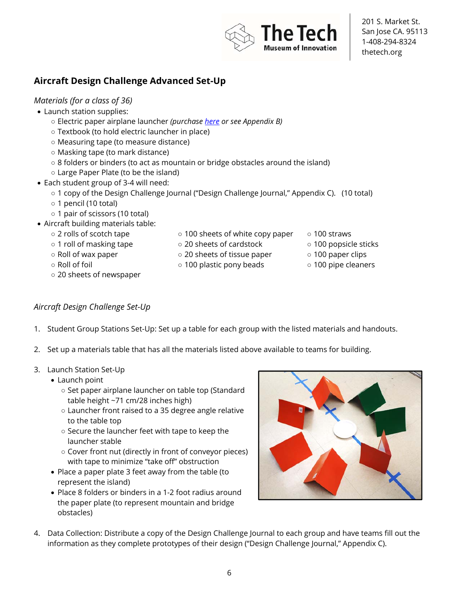

### **Aircraft Design Challenge Advanced Set-Up**

#### *Materials (for a class of 36)*

- Launch station supplies:
	- Electric paper airplane launcher *(purchase here or see Appendix B)*
	- Textbook (to hold electric launcher in place)
	- Measuring tape (to measure distance)
	- Masking tape (to mark distance)
	- 8 folders or binders (to act as mountain or bridge obstacles around the island)
	- Large Paper Plate (to be the island)
- Each student group of 3-4 will need:
	- 1 copy of the Design Challenge Journal ("Design Challenge Journal," Appendix C). (10 total)
	- 1 pencil (10 total)
	- 1 pair of scissors (10 total)
- Aircraft building materials table:
	- 2 rolls of scotch tape ○ 1 roll of masking tape
- 100 sheets of white copy paper ○ 20 sheets of cardstock

○ 20 sheets of tissue paper ○ 100 plastic pony beads

- 100 straws
	- 100 popsicle sticks
	- 100 paper clips
	- 100 pipe cleaners
- Roll of wax paper ○ Roll of foil
- 20 sheets of newspaper

#### *Aircraft Design Challenge Set-Up*

- 1. Student Group Stations Set-Up: Set up a table for each group with the listed materials and handouts.
- 2. Set up a materials table that has all the materials listed above available to teams for building.
- 3. Launch Station Set-Up
	- Launch point
		- Set paper airplane launcher on table top (Standard table height ~71 cm/28 inches high)
		- Launcher front raised to a 35 degree angle relative to the table top
		- Secure the launcher feet with tape to keep the launcher stable
		- Cover front nut (directly in front of conveyor pieces) with tape to minimize "take off" obstruction
	- Place a paper plate 3 feet away from the table (to represent the island)
	- Place 8 folders or binders in a 1-2 foot radius around the paper plate (to represent mountain and bridge obstacles)



4. Data Collection: Distribute a copy of the Design Challenge Journal to each group and have teams fill out the information as they complete prototypes of their design ("Design Challenge Journal," Appendix C).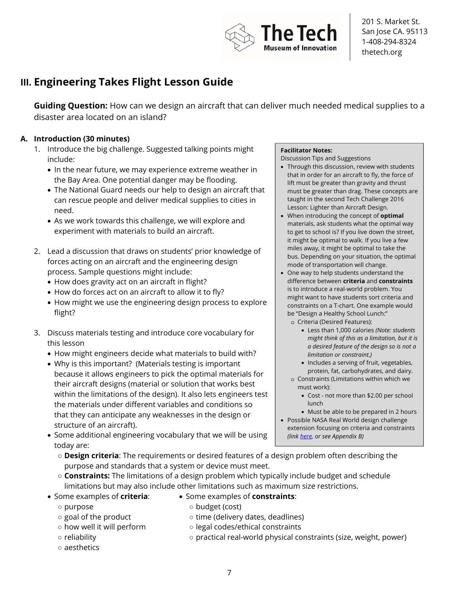

### **III. Engineering Takes Flight Lesson Guide**

**Guiding Question:** How can we design an aircraft that can deliver much needed medical supplies to a disaster area located on an island?

#### **A. Introduction (30 minutes)**

- 1. Introduce the big challenge. Suggested talking points might include:
	- In the near future, we may experience extreme weather in the Bay Area. One potential danger may be flooding.
	- The National Guard needs our help to design an aircraft that can rescue people and deliver medical supplies to cities in need.
	- As we work towards this challenge, we will explore and experiment with materials to build an aircraft.
- 2. Lead a discussion that draws on students' prior knowledge of forces acting on an aircraft and the engineering design process. Sample questions might include:
	- How does gravity act on an aircraft in flight?
	- How do forces act on an aircraft to allow it to fly?
	- How might we use the engineering design process to explore flight?
- 3. Discuss materials testing and introduce core vocabulary for this lesson
	- How might engineers decide what materials to build with?
	- Why is this important? (Materials testing is important because it allows engineers to pick the optimal materials for their aircraft designs (material or solution that works best within the limitations of the design). It also lets engineers test the materials under different variables and conditions so that they can anticipate any weaknesses in the design or structure of an aircraft).
	- Some additional engineering vocabulary that we will be using today are:

#### **Facilitator Notes:**

Discussion Tips and Suggestions

- Through this discussion, review with students that in order for an aircraft to fly, the force of lift must be greater than gravity and thrust must be greater than drag. These concepts are taught in the second Tech Challenge 2016 Lesson: Lighter than Aircraft Design.
- When introducing the concept of **optimal** materials, ask students what the optimal way to get to school is? If you live down the street, it might be optimal to walk. If you live a few miles away, it might be optimal to take the bus. Depending on your situation, the optimal mode of transportation will change.
- One way to help students understand the difference between **criteria** and **constraints** is to introduce a real-world problem. You might want to have students sort criteria and constraints on a T-chart. One example would be "Design a Healthy School Lunch:"
	- o Criteria (Desired Features):
		- Less than 1,000 calories *(Note: students might think of this as a limitation, but it is a desired feature of the design so is not a limitation or constraint.)*
		- Includes a serving of fruit, vegetables, protein, fat, carbohydrates, and dairy.
	- o Constraints (Limitations within which we must work):
		- Cost not more than \$2.00 per school lunch
- Must be able to be prepared in 2 hours • Possible NASA Real World design challenge extension focusing on criteria and constraints *(link here, or see Appendix B)*
- **Design criteria**: The requirements or desired features of a design problem often describing the purpose and standards that a system or device must meet.
- **Constraints:** The limitations of a design problem which typically include budget and schedule limitations but may also include other limitations such as maximum size restrictions.
- Some examples of **criteria**:
	- purpose
- Some examples of **constraints**:
- goal of the product
- budget (cost)
- time (delivery dates, deadlines)
- how well it will perform
- reliability
- aesthetics
- legal codes/ethical constraints
- practical real-world physical constraints (size, weight, power)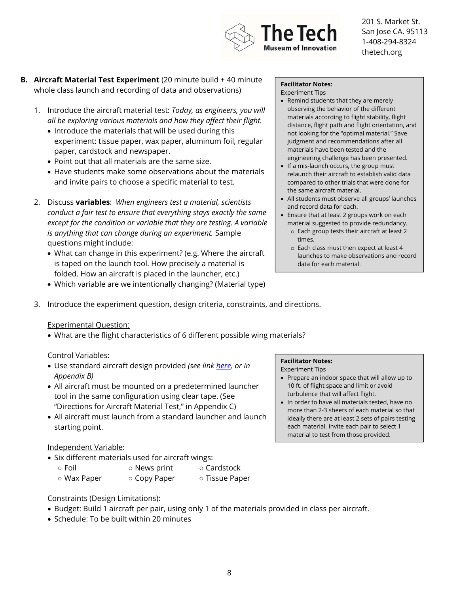

- **B.** Aircraft Material Test Experiment (20 minute build + 40 minute whole class launch and recording of data and observations)
	- 1. Introduce the aircraft material test: *Today, as engineers, you will all be exploring various materials and how they affect their flight.*
		- Introduce the materials that will be used during this experiment: tissue paper, wax paper, aluminum foil, regular paper, cardstock and newspaper.
		- Point out that all materials are the same size.
		- Have students make some observations about the materials and invite pairs to choose a specific material to test.
	- 2. Discuss **variables**: *When engineers test a material, scientists conduct a fair test to ensure that everything stays exactly the same except for the condition or variable that they are testing. A variable is anything that can change during an experiment.* Sample questions might include:
		- What can change in this experiment? (e.g. Where the aircraft is taped on the launch tool. How precisely a material is folded. How an aircraft is placed in the launcher, etc.)
		- Which variable are we intentionally changing? (Material type)

#### **Facilitator Notes:**  Experiment Tips

- Remind students that they are merely observing the behavior of the different materials according to flight stability, flight distance, flight path and flight orientation, and not looking for the "optimal material." Save judgment and recommendations after all materials have been tested and the engineering challenge has been presented.
- If a mis-launch occurs, the group must relaunch their aircraft to establish valid data compared to other trials that were done for the same aircraft material.
- All students must observe all groups' launches and record data for each.
- Ensure that at least 2 groups work on each material suggested to provide redundancy.
	- o Each group tests their aircraft at least 2 times.
	- o Each class must then expect at least 4 launches to make observations and record data for each material.
- 3. Introduce the experiment question, design criteria, constraints, and directions.

#### Experimental Question:

• What are the flight characteristics of 6 different possible wing materials?

#### Control Variables:

- Use standard aircraft design provided *(see link here, or in Appendix B)*
- All aircraft must be mounted on a predetermined launcher tool in the same configuration using clear tape. (See "Directions for Aircraft Material Test," in Appendix C)
- All aircraft must launch from a standard launcher and launch starting point.

#### Independent Variable:

- Six different materials used for aircraft wings:
	- Foil
- News print
- Cardstock
- Wax Paper ○ Copy Paper ○ Tissue Paper

#### Constraints (Design Limitations):

- Budget: Build 1 aircraft per pair, using only 1 of the materials provided in class per aircraft.
- Schedule: To be built within 20 minutes

#### **Facilitator Notes:**

Experiment Tips

- Prepare an indoor space that will allow up to 10 ft. of flight space and limit or avoid turbulence that will affect flight.
- In order to have all materials tested, have no more than 2-3 sheets of each material so that ideally there are at least 2 sets of pairs testing each material. Invite each pair to select 1 material to test from those provided.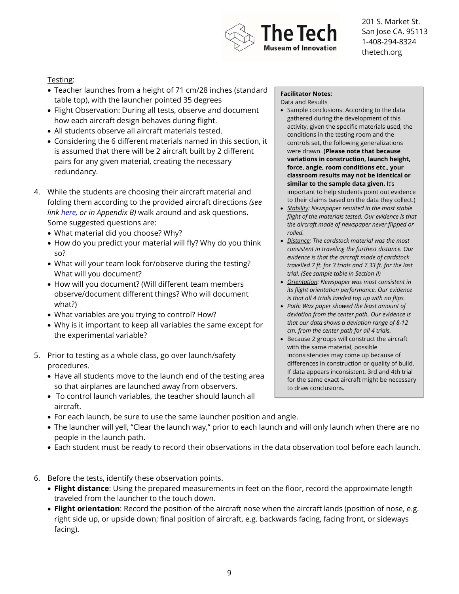

#### Testing:

- Teacher launches from a height of 71 cm/28 inches (standard table top), with the launcher pointed 35 degrees
- Flight Observation: During all tests, observe and document how each aircraft design behaves during flight.
- All students observe all aircraft materials tested.
- Considering the 6 different materials named in this section, it is assumed that there will be 2 aircraft built by 2 different pairs for any given material, creating the necessary redundancy.
- 4. While the students are choosing their aircraft material and folding them according to the provided aircraft directions *(see link here, or in Appendix B)* walk around and ask questions. Some suggested questions are:
	- What material did you choose? Why?
	- How do you predict your material will fly? Why do you think so?
	- What will your team look for/observe during the testing? What will you document?
	- How will you document? (Will different team members observe/document different things? Who will document what?)
	- What variables are you trying to control? How?
	- Why is it important to keep all variables the same except for the experimental variable?
- 5. Prior to testing as a whole class, go over launch/safety procedures.
	- Have all students move to the launch end of the testing area so that airplanes are launched away from observers.
	- To control launch variables, the teacher should launch all aircraft.
	- For each launch, be sure to use the same launcher position and angle.
	- The launcher will yell, "Clear the launch way," prior to each launch and will only launch when there are no people in the launch path.
	- Each student must be ready to record their observations in the data observation tool before each launch.
- 6. Before the tests, identify these observation points.
	- **Flight distance**: Using the prepared measurements in feet on the floor, record the approximate length traveled from the launcher to the touch down.
	- **Flight orientation**: Record the position of the aircraft nose when the aircraft lands (position of nose, e.g. right side up, or upside down; final position of aircraft, e.g. backwards facing, facing front, or sideways facing).

#### **Facilitator Notes:**

Data and Results

- Sample conclusions: According to the data gathered during the development of this activity, given the specific materials used, the conditions in the testing room and the controls set, the following generalizations were drawn. **(Please note that because variations in construction, launch height, force, angle, room conditions etc.**, **your classroom results may not be identical or similar to the sample data given.** It's important to help students point out evidence to their claims based on the data they collect.)
- *Stability: Newspaper resulted in the most stable flight of the materials tested. Our evidence is that the aircraft made of newspaper never flipped or rolled.*
- *Distance: The cardstock material was the most consistent in traveling the furthest distance. Our evidence is that the aircraft made of cardstock travelled 7 ft. for 3 trials and 7.33 ft. for the last trial. (See sample table in Section II)*
- *Orientation: Newspaper was most consistent in its flight orientation performance. Our evidence is that all 4 trials landed top up with no flips.*
- *Path: Wax paper showed the least amount of deviation from the center path. Our evidence is that our data shows a deviation range of 8-12 cm. from the center path for all 4 trials.*
- Because 2 groups will construct the aircraft with the same material, possible inconsistencies may come up because of differences in construction or quality of build. If data appears inconsistent, 3rd and 4th trial for the same exact aircraft might be necessary to draw conclusions.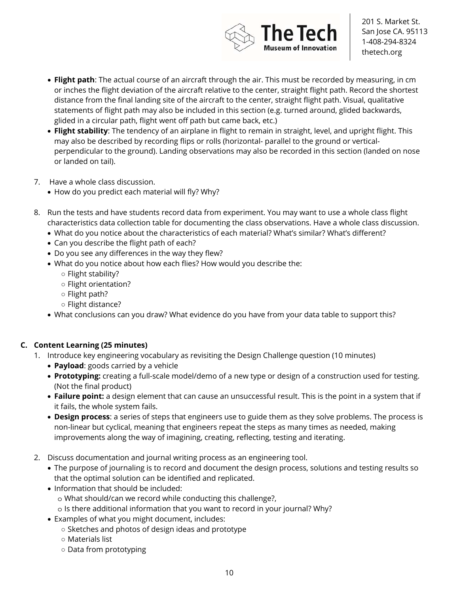

- **Flight path**: The actual course of an aircraft through the air. This must be recorded by measuring, in cm or inches the flight deviation of the aircraft relative to the center, straight flight path. Record the shortest distance from the final landing site of the aircraft to the center, straight flight path. Visual, qualitative statements of flight path may also be included in this section (e.g. turned around, glided backwards, glided in a circular path, flight went off path but came back, etc.)
- **Flight stability**: The tendency of an airplane in flight to remain in straight, level, and upright flight. This may also be described by recording flips or rolls (horizontal- parallel to the ground or verticalperpendicular to the ground). Landing observations may also be recorded in this section (landed on nose or landed on tail).
- 7. Have a whole class discussion.
	- How do you predict each material will fly? Why?
- 8. Run the tests and have students record data from experiment. You may want to use a whole class flight characteristics data collection table for documenting the class observations. Have a whole class discussion.
	- What do you notice about the characteristics of each material? What's similar? What's different?
	- Can you describe the flight path of each?
	- Do you see any differences in the way they flew?
	- What do you notice about how each flies? How would you describe the:
		- Flight stability?
		- Flight orientation?
		- Flight path?
		- Flight distance?
	- What conclusions can you draw? What evidence do you have from your data table to support this?

#### **C. Content Learning (25 minutes)**

- 1. Introduce key engineering vocabulary as revisiting the Design Challenge question (10 minutes)
	- **Payload**: goods carried by a vehicle
	- **Prototyping:** creating a full-scale model/demo of a new type or design of a construction used for testing. (Not the final product)
	- **Failure point:** a design element that can cause an unsuccessful result. This is the point in a system that if it fails, the whole system fails.
	- **Design process**: a series of steps that engineers use to guide them as they solve problems. The process is non-linear but cyclical, meaning that engineers repeat the steps as many times as needed, making improvements along the way of imagining, creating, reflecting, testing and iterating.
- 2. Discuss documentation and journal writing process as an engineering tool.
	- The purpose of journaling is to record and document the design process, solutions and testing results so that the optimal solution can be identified and replicated.
	- Information that should be included:
		- o What should/can we record while conducting this challenge?,
		- o Is there additional information that you want to record in your journal? Why?
	- Examples of what you might document, includes:
		- Sketches and photos of design ideas and prototype
		- Materials list
		- Data from prototyping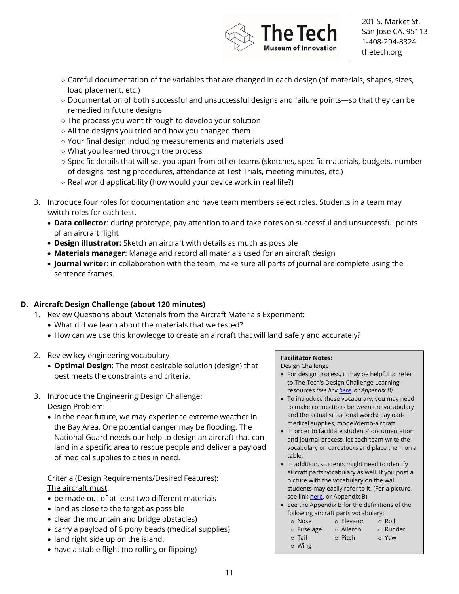

- Careful documentation of the variables that are changed in each design (of materials, shapes, sizes, load placement, etc.)
- Documentation of both successful and unsuccessful designs and failure points—so that they can be remedied in future designs
- The process you went through to develop your solution
- All the designs you tried and how you changed them
- Your final design including measurements and materials used
- What you learned through the process
- Specific details that will set you apart from other teams (sketches, specific materials, budgets, number of designs, testing procedures, attendance at Test Trials, meeting minutes, etc.)
- Real world applicability (how would your device work in real life?)
- 3. Introduce four roles for documentation and have team members select roles. Students in a team may switch roles for each test.
	- **Data collector**: during prototype, pay attention to and take notes on successful and unsuccessful points of an aircraft flight
	- **Design illustrator:** Sketch an aircraft with details as much as possible
	- **Materials manager**: Manage and record all materials used for an aircraft design
	- **Journal writer**: in collaboration with the team, make sure all parts of journal are complete using the sentence frames.

#### **D. Aircraft Design Challenge (about 120 minutes)**

- 1. Review Questions about Materials from the Aircraft Materials Experiment:
	- What did we learn about the materials that we tested?
	- How can we use this knowledge to create an aircraft that will land safely and accurately?
- 2. Review key engineering vocabulary
	- **Optimal Design**: The most desirable solution (design) that best meets the constraints and criteria.
- 3. Introduce the Engineering Design Challenge: Design Problem:
	- In the near future, we may experience extreme weather in the Bay Area. One potential danger may be flooding. The National Guard needs our help to design an aircraft that can land in a specific area to rescue people and deliver a payload of medical supplies to cities in need.

#### Criteria (Design Requirements/Desired Features): The aircraft must:

- be made out of at least two different materials
- land as close to the target as possible
- clear the mountain and bridge obstacles)
- carry a payload of 6 pony beads (medical supplies)
- land right side up on the island.
- have a stable flight (no rolling or flipping)

#### **Facilitator Notes:**

Design Challenge

- For design process, it may be helpful to refer to The Tech's Design Challenge Learning resources *(see link here, or Appendix B)*
- To introduce these vocabulary, you may need to make connections between the vocabulary and the actual situational words: payloadmedical supplies, model/demo-aircraft
- In order to facilitate students' documentation and journal process, let each team write the vocabulary on cardstocks and place them on a table.
- In addition, students might need to identify aircraft parts vocabulary as well. If you post a picture with the vocabulary on the wall, students may easily refer to it. (For a picture, see link here, or Appendix B)
- See the Appendix B for the definitions of the following aircraft parts vocabulary:

| o Nose     | o Elevator | $\circ$ Roll |
|------------|------------|--------------|
| o Fuselage | o Aileron  | o Rudder     |
| o Tail     | o Pitch    | o Yaw        |
| o Wing     |            |              |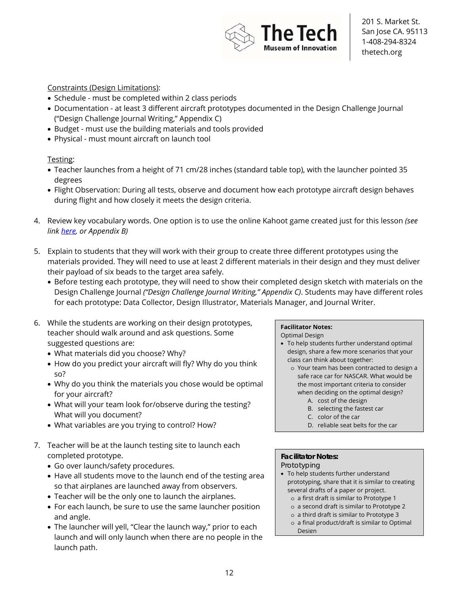

#### Constraints (Design Limitations):

- Schedule must be completed within 2 class periods
- Documentation at least 3 different aircraft prototypes documented in the Design Challenge Journal ("Design Challenge Journal Writing," Appendix C)
- Budget must use the building materials and tools provided
- Physical must mount aircraft on launch tool

#### Testing:

- Teacher launches from a height of 71 cm/28 inches (standard table top), with the launcher pointed 35 degrees
- Flight Observation: During all tests, observe and document how each prototype aircraft design behaves during flight and how closely it meets the design criteria.
- 4. Review key vocabulary words. One option is to use the online Kahoot game created just for this lesson *(see link here, or Appendix B)*
- 5. Explain to students that they will work with their group to create three different prototypes using the materials provided. They will need to use at least 2 different materials in their design and they must deliver their payload of six beads to the target area safely.
	- Before testing each prototype, they will need to show their completed design sketch with materials on the Design Challenge Journal *("Design Challenge Journal Writing," Appendix C)*. Students may have different roles for each prototype: Data Collector, Design Illustrator, Materials Manager, and Journal Writer.
- 6. While the students are working on their design prototypes, teacher should walk around and ask questions. Some suggested questions are:
	- What materials did you choose? Why?
	- How do you predict your aircraft will fly? Why do you think so?
	- Why do you think the materials you chose would be optimal for your aircraft?
	- What will your team look for/observe during the testing? What will you document?
	- What variables are you trying to control? How?
- 7. Teacher will be at the launch testing site to launch each completed prototype.
	- Go over launch/safety procedures.
	- Have all students move to the launch end of the testing area so that airplanes are launched away from observers.
	- Teacher will be the only one to launch the airplanes.
	- For each launch, be sure to use the same launcher position and angle.
	- The launcher will yell, "Clear the launch way," prior to each launch and will only launch when there are no people in the launch path.

#### **Facilitator Notes:**

Optimal Design

- To help students further understand optimal design, share a few more scenarios that your class can think about together:
	- o Your team has been contracted to design a safe race car for NASCAR. What would be the most important criteria to consider when deciding on the optimal design?
		- A. cost of the design
		- B. selecting the fastest car
		- C. color of the car
		- D. reliable seat belts for the car

#### **Facilitator Notes:**

**Prototyping** 

- To help students further understand prototyping, share that it is similar to creating several drafts of a paper or project.
	- o a first draft is similar to Prototype 1
	- o a second draft is similar to Prototype 2
	- o a third draft is similar to Prototype 3
	- o a final product/draft is similar to Optimal Design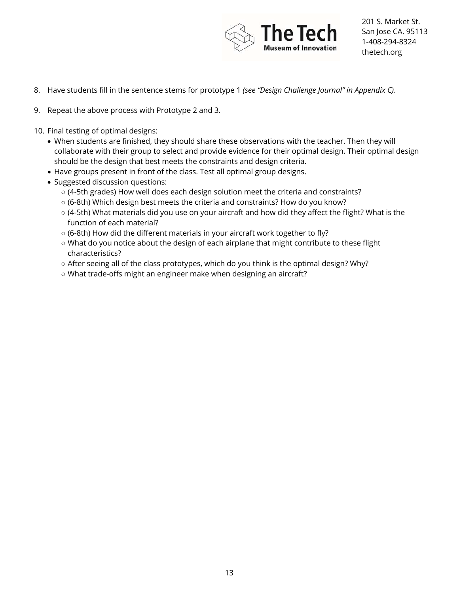

- 8. Have students fill in the sentence stems for prototype 1 *(see "Design Challenge Journal" in Appendix C)*.
- 9. Repeat the above process with Prototype 2 and 3.
- 10. Final testing of optimal designs:
	- When students are finished, they should share these observations with the teacher. Then they will collaborate with their group to select and provide evidence for their optimal design. Their optimal design should be the design that best meets the constraints and design criteria.
	- Have groups present in front of the class. Test all optimal group designs.
	- Suggested discussion questions:
		- (4-5th grades) How well does each design solution meet the criteria and constraints?
		- (6-8th) Which design best meets the criteria and constraints? How do you know?
		- (4-5th) What materials did you use on your aircraft and how did they affect the flight? What is the function of each material?
		- (6-8th) How did the different materials in your aircraft work together to fly?
		- What do you notice about the design of each airplane that might contribute to these flight characteristics?
		- After seeing all of the class prototypes, which do you think is the optimal design? Why?
		- What trade-offs might an engineer make when designing an aircraft?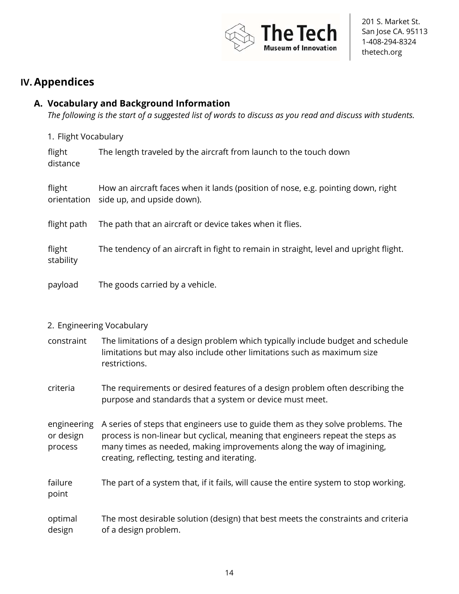

### **IV.Appendices**

#### **A. Vocabulary and Background Information**

*The following is the start of a suggested list of words to discuss as you read and discuss with students.*

1. Flight Vocabulary

| flight<br>distance    | The length traveled by the aircraft from launch to the touch down                                              |
|-----------------------|----------------------------------------------------------------------------------------------------------------|
| flight<br>orientation | How an aircraft faces when it lands (position of nose, e.g. pointing down, right<br>side up, and upside down). |
| flight path           | The path that an aircraft or device takes when it flies.                                                       |
| flight<br>stability   | The tendency of an aircraft in fight to remain in straight, level and upright flight.                          |
| payload               | The goods carried by a vehicle.                                                                                |

#### 2. Engineering Vocabulary

- constraint The limitations of a design problem which typically include budget and schedule limitations but may also include other limitations such as maximum size restrictions.
- criteria The requirements or desired features of a design problem often describing the purpose and standards that a system or device must meet.

engineering or design process A series of steps that engineers use to guide them as they solve problems. The process is non-linear but cyclical, meaning that engineers repeat the steps as many times as needed, making improvements along the way of imagining, creating, reflecting, testing and iterating.

failure point The part of a system that, if it fails, will cause the entire system to stop working.

optimal design The most desirable solution (design) that best meets the constraints and criteria of a design problem.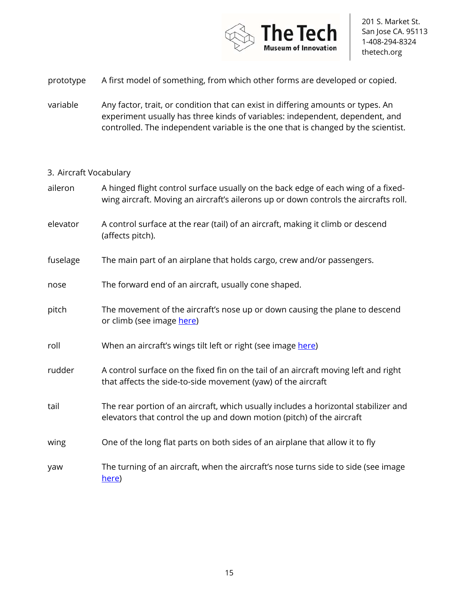

- prototype A first model of something, from which other forms are developed or copied.
- variable Any factor, trait, or condition that can exist in differing amounts or types. An experiment usually has three kinds of variables: independent, dependent, and controlled. The independent variable is the one that is changed by the scientist.

#### 3. Aircraft Vocabulary

| aileron  | A hinged flight control surface usually on the back edge of each wing of a fixed-<br>wing aircraft. Moving an aircraft's ailerons up or down controls the aircrafts roll. |
|----------|---------------------------------------------------------------------------------------------------------------------------------------------------------------------------|
| elevator | A control surface at the rear (tail) of an aircraft, making it climb or descend<br>(affects pitch).                                                                       |
| fuselage | The main part of an airplane that holds cargo, crew and/or passengers.                                                                                                    |
| nose     | The forward end of an aircraft, usually cone shaped.                                                                                                                      |
| pitch    | The movement of the aircraft's nose up or down causing the plane to descend<br>or climb (see image here)                                                                  |
| roll     | When an aircraft's wings tilt left or right (see image here)                                                                                                              |
| rudder   | A control surface on the fixed fin on the tail of an aircraft moving left and right<br>that affects the side-to-side movement (yaw) of the aircraft                       |
| tail     | The rear portion of an aircraft, which usually includes a horizontal stabilizer and<br>elevators that control the up and down motion (pitch) of the aircraft              |
| wing     | One of the long flat parts on both sides of an airplane that allow it to fly                                                                                              |
| yaw      | The turning of an aircraft, when the aircraft's nose turns side to side (see image<br>here)                                                                               |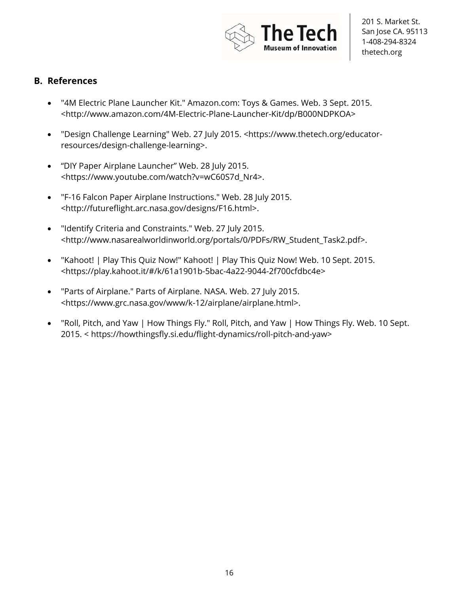

#### **B. References**

- "4M Electric Plane Launcher Kit." Amazon.com: Toys & Games. Web. 3 Sept. 2015. <http://www.amazon.com/4M-Electric-Plane-Launcher-Kit/dp/B000NDPKOA>
- "Design Challenge Learning" Web. 27 July 2015. <https://www.thetech.org/educatorresources/design-challenge-learning>.
- "DIY Paper Airplane Launcher" Web. 28 July 2015. <https://www.youtube.com/watch?v=wC60S7d\_Nr4>.
- "F-16 Falcon Paper Airplane Instructions." Web. 28 July 2015. <http://futureflight.arc.nasa.gov/designs/F16.html>.
- "Identify Criteria and Constraints." Web. 27 July 2015. <http://www.nasarealworldinworld.org/portals/0/PDFs/RW\_Student\_Task2.pdf>.
- "Kahoot! | Play This Quiz Now!" Kahoot! | Play This Quiz Now! Web. 10 Sept. 2015. <https://play.kahoot.it/#/k/61a1901b-5bac-4a22-9044-2f700cfdbc4e>
- "Parts of Airplane." Parts of Airplane. NASA. Web. 27 July 2015. <https://www.grc.nasa.gov/www/k-12/airplane/airplane.html>.
- "Roll, Pitch, and Yaw | How Things Fly." Roll, Pitch, and Yaw | How Things Fly. Web. 10 Sept. 2015. < https://howthingsfly.si.edu/flight-dynamics/roll-pitch-and-yaw>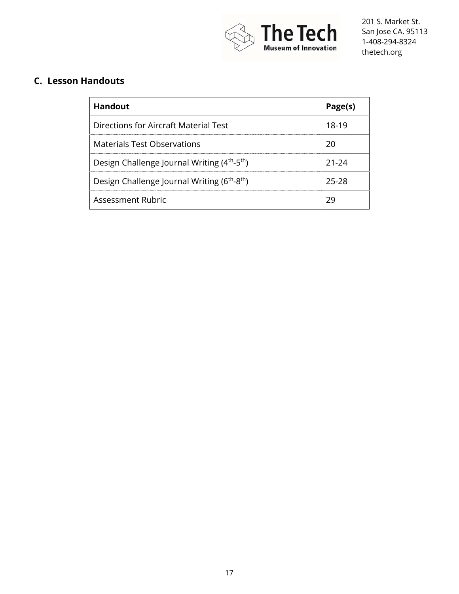

### **C. Lesson Handouts**

| <b>Handout</b>                                                       | Page(s) |
|----------------------------------------------------------------------|---------|
| Directions for Aircraft Material Test                                | 18-19   |
| <b>Materials Test Observations</b>                                   | 20      |
| Design Challenge Journal Writing (4 <sup>th</sup> -5 <sup>th</sup> ) | 21-24   |
| Design Challenge Journal Writing (6 <sup>th</sup> -8 <sup>th</sup> ) | 25-28   |
| <b>Assessment Rubric</b>                                             | 29      |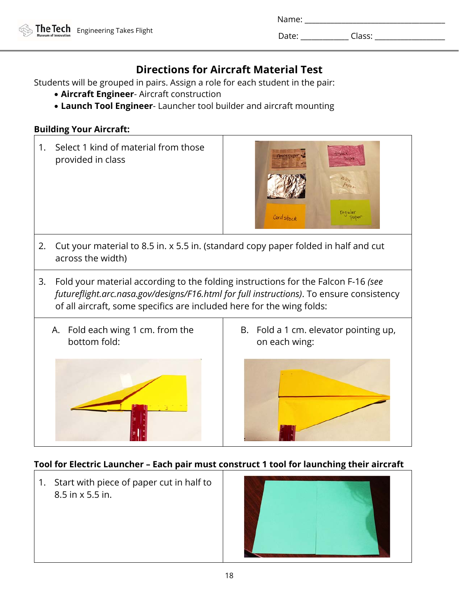Date: \_\_\_\_\_\_\_\_\_\_\_\_\_ Class: \_\_\_\_\_\_\_\_\_\_\_\_\_\_\_\_\_\_\_

### **Directions for Aircraft Material Test**

Students will be grouped in pairs. Assign a role for each student in the pair:

- **Aircraft Engineer** Aircraft construction
- **Launch Tool Engineer** Launcher tool builder and aircraft mounting

#### **Building Your Aircraft:**

1. Select 1 kind of material from those provided in class



- 2. Cut your material to 8.5 in. x 5.5 in. (standard copy paper folded in half and cut across the width)
- 3. Fold your material according to the folding instructions for the Falcon F-16 *(see futureflight.arc.nasa.gov/designs/F16.html for full instructions)*. To ensure consistency of all aircraft, some specifics are included here for the wing folds:
	- A. Fold each wing 1 cm. from the bottom fold:



B. Fold a 1 cm. elevator pointing up, on each wing:



#### **Tool for Electric Launcher – Each pair must construct 1 tool for launching their aircraft**

1. Start with piece of paper cut in half to 8.5 in x 5.5 in.

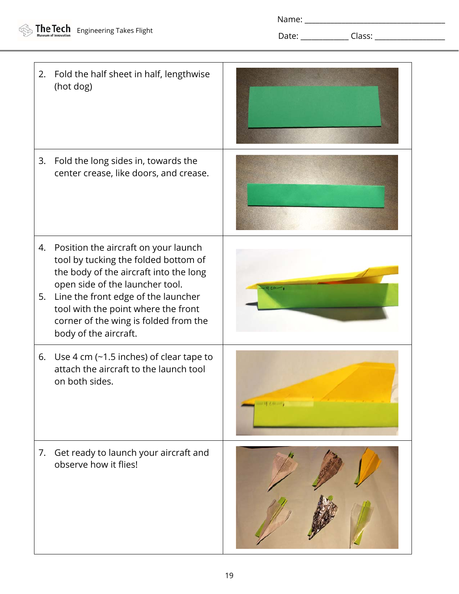Date: \_\_\_\_\_\_\_\_\_\_\_\_\_ Class: \_\_\_\_\_\_\_\_\_\_\_\_\_\_\_\_\_\_\_

2. Fold the half sheet in half, lengthwise (hot dog) 3. Fold the long sides in, towards the center crease, like doors, and crease. 4. Position the aircraft on your launch tool by tucking the folded bottom of the body of the aircraft into the long open side of the launcher tool. 5. Line the front edge of the launcher tool with the point where the front corner of the wing is folded from the body of the aircraft. 6. Use 4 cm (~1.5 inches) of clear tape to attach the aircraft to the launch tool on both sides. 7. Get ready to launch your aircraft and observe how it flies!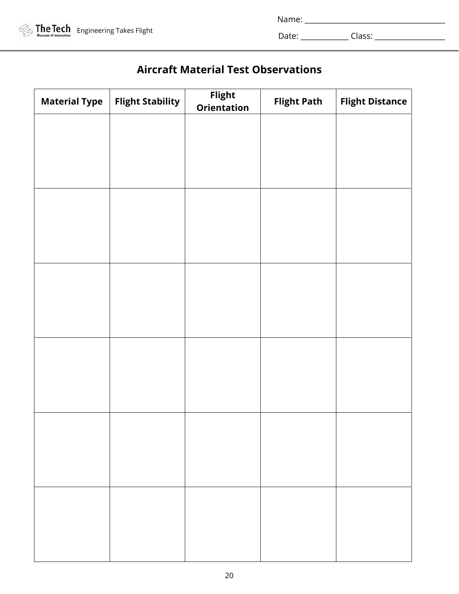| <b>The Tech</b> Engineering Takes Flight |
|------------------------------------------|
|                                          |

Name: \_\_\_\_\_\_\_\_\_\_\_\_\_\_\_\_\_\_\_\_\_\_\_\_\_\_\_\_\_\_\_\_\_\_\_\_\_\_

Date: \_\_\_\_\_\_\_\_\_\_\_\_\_ Class: \_\_\_\_\_\_\_\_\_\_\_\_\_\_\_\_\_\_\_

### **Aircraft Material Test Observations**

| <b>Material Type</b> | <b>Flight Stability</b> | Flight<br>Orientation | <b>Flight Path</b> | <b>Flight Distance</b> |
|----------------------|-------------------------|-----------------------|--------------------|------------------------|
|                      |                         |                       |                    |                        |
|                      |                         |                       |                    |                        |
|                      |                         |                       |                    |                        |
|                      |                         |                       |                    |                        |
|                      |                         |                       |                    |                        |
|                      |                         |                       |                    |                        |
|                      |                         |                       |                    |                        |
|                      |                         |                       |                    |                        |
|                      |                         |                       |                    |                        |
|                      |                         |                       |                    |                        |
|                      |                         |                       |                    |                        |
|                      |                         |                       |                    |                        |
|                      |                         |                       |                    |                        |
|                      |                         |                       |                    |                        |
|                      |                         |                       |                    |                        |
|                      |                         |                       |                    |                        |
|                      |                         |                       |                    |                        |
|                      |                         |                       |                    |                        |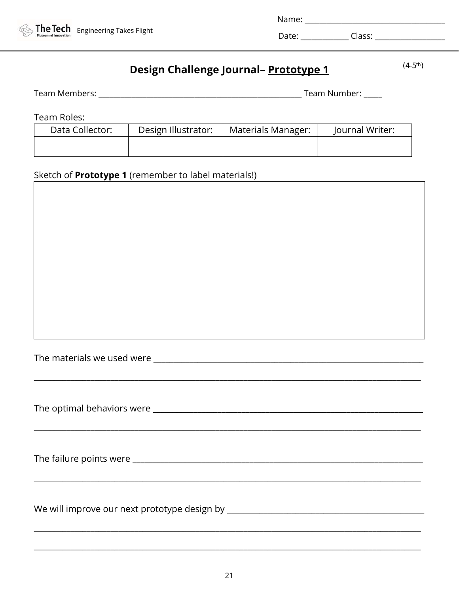

### Design Challenge Journal- Prototype 1

 $(4-5^{\text{th}})$ 

| Team Members: | Team Number: |
|---------------|--------------|
|               |              |

Team Roles:

| Data Collector: | Design Illustrator: | Materials Manager: | Journal Writer: |
|-----------------|---------------------|--------------------|-----------------|
|                 |                     |                    |                 |

### Sketch of **Prototype 1** (remember to label materials!) [2012] [2012] [2012] [2012] [2012] [2012] [2012] [2012] [2012] [2012] [2012] [2012] [2012] [2012] [2012] [2012] [2012] [2012] [2012] [2012] [2012] [2012] [2012] [2012]

| The materials we used were ____ |  |  |  |
|---------------------------------|--|--|--|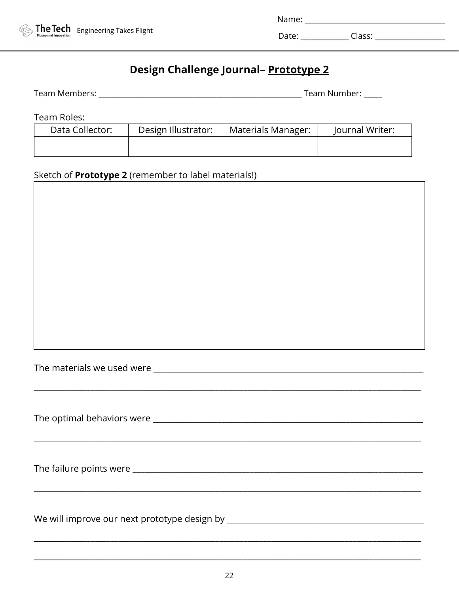

| Name: |  |
|-------|--|
|       |  |

٦

### Design Challenge Journal- Prototype 2

| Team Members: | Team Number: ' |
|---------------|----------------|
|---------------|----------------|

Team Roles:

| Data Collector: | Design Illustrator: | Materials Manager: | Journal Writer: |
|-----------------|---------------------|--------------------|-----------------|
|                 |                     |                    |                 |

#### Sketch of **Prototype 2** (remember to label materials!)  $\overline{\Gamma}$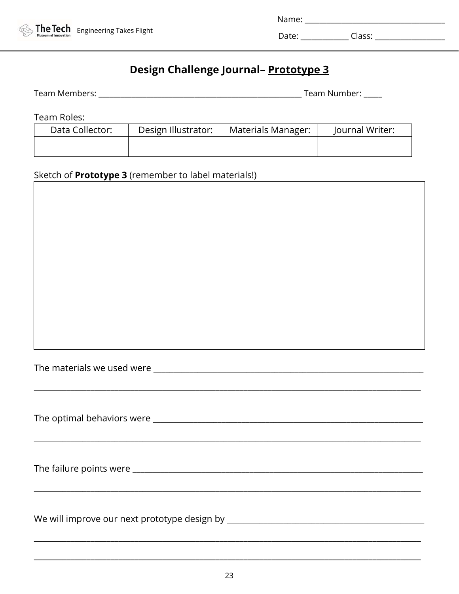

| Name: |  |
|-------|--|
|       |  |

┑

### Design Challenge Journal- Prototype 3

| Team Members: | Team Number: ' |
|---------------|----------------|
|---------------|----------------|

Team Roles:

| Data Collector: | Design Illustrator: | <b>Materials Manager:</b> | Journal Writer: |
|-----------------|---------------------|---------------------------|-----------------|
|                 |                     |                           |                 |
|                 |                     |                           |                 |
|                 |                     |                           |                 |

#### Sketch of **Prototype 3** (remember to label materials!) Ē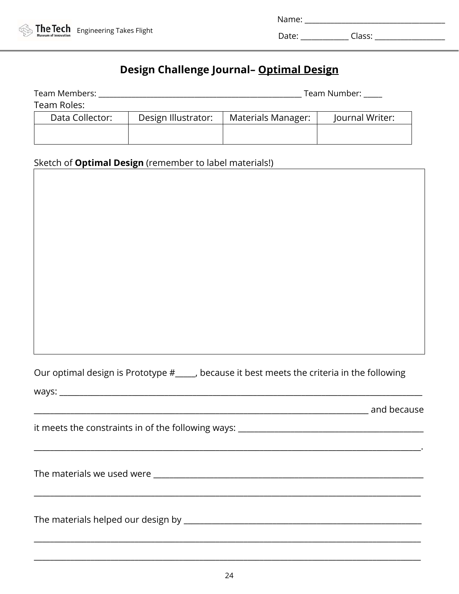

| Name <sup>.</sup> |  |
|-------------------|--|
|                   |  |

Date: \_\_\_\_\_\_\_\_\_\_\_\_\_ Class: \_\_\_\_\_\_\_\_\_\_\_\_\_\_\_\_\_\_\_

### **Design Challenge Journal– Optimal Design**

| Team Members:   | Team Number:        |                    |                 |
|-----------------|---------------------|--------------------|-----------------|
| Team Roles:     |                     |                    |                 |
| Data Collector: | Design Illustrator: | Materials Manager: | Journal Writer: |
|                 |                     |                    |                 |
|                 |                     |                    |                 |

# Sketch of **Optimal Design** (remember to label materials!)

| Our optimal design is Prototype #_____, because it best meets the criteria in the following |
|---------------------------------------------------------------------------------------------|
| ways:                                                                                       |

| it meets the constraints in of the following ways: |  |
|----------------------------------------------------|--|
|                                                    |  |
|                                                    |  |

\_\_\_\_\_\_\_\_\_\_\_\_\_\_\_\_\_\_\_\_\_\_\_\_\_\_\_\_\_\_\_\_\_\_\_\_\_\_\_\_\_\_\_\_\_\_\_\_\_\_\_\_\_\_\_\_\_\_\_\_\_\_\_\_\_\_\_\_\_\_\_\_\_\_\_\_\_\_\_\_\_\_\_\_\_\_\_\_\_\_\_\_\_\_\_\_

\_\_\_\_\_\_\_\_\_\_\_\_\_\_\_\_\_\_\_\_\_\_\_\_\_\_\_\_\_\_\_\_\_\_\_\_\_\_\_\_\_\_\_\_\_\_\_\_\_\_\_\_\_\_\_\_\_\_\_\_\_\_\_\_\_\_\_\_\_\_\_\_\_\_\_\_\_\_\_\_\_\_\_ and because

The materials we used were \_\_\_\_\_\_\_\_\_\_\_\_\_\_\_\_\_\_\_\_\_\_\_\_\_\_\_\_\_\_\_\_\_\_\_\_\_\_\_\_\_\_\_\_\_\_\_\_\_\_\_\_\_\_\_\_\_\_\_\_\_\_\_\_\_\_\_

The materials helped our design by \_\_\_\_\_\_\_\_\_\_\_\_\_\_\_\_\_\_\_\_\_\_\_\_\_\_\_\_\_\_\_\_\_\_\_\_\_\_\_\_\_\_\_\_\_\_\_\_\_\_\_\_\_\_\_\_\_\_\_

\_\_\_\_\_\_\_\_\_\_\_\_\_\_\_\_\_\_\_\_\_\_\_\_\_\_\_\_\_\_\_\_\_\_\_\_\_\_\_\_\_\_\_\_\_\_\_\_\_\_\_\_\_\_\_\_\_\_\_\_\_\_\_\_\_\_\_\_\_\_\_\_\_\_\_\_\_\_\_\_\_\_\_\_\_\_\_\_\_\_\_\_\_\_\_\_

\_\_\_\_\_\_\_\_\_\_\_\_\_\_\_\_\_\_\_\_\_\_\_\_\_\_\_\_\_\_\_\_\_\_\_\_\_\_\_\_\_\_\_\_\_\_\_\_\_\_\_\_\_\_\_\_\_\_\_\_\_\_\_\_\_\_\_\_\_\_\_\_\_\_\_\_\_\_\_\_\_\_\_\_\_\_\_\_\_\_\_\_\_\_\_\_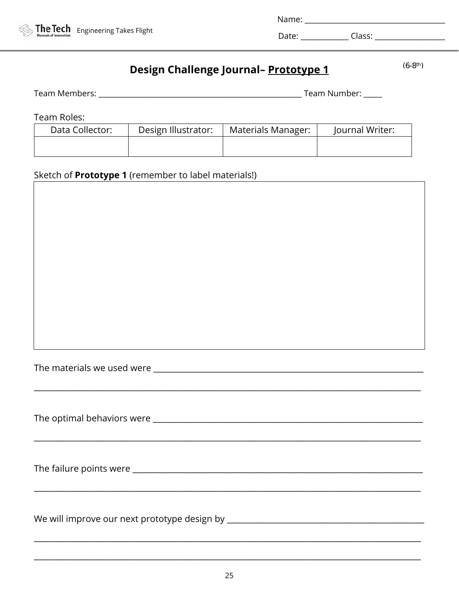### Design Challenge Journal- Prototype 1

 $(6-8^{th})$ 

| Team Members: | Team Number: |
|---------------|--------------|
|               |              |

Team Roles:

| .               |                     |                    |                 |
|-----------------|---------------------|--------------------|-----------------|
| Data Collector: | Design Illustrator: | Materials Manager: | Journal Writer: |
|                 |                     |                    |                 |
|                 |                     |                    |                 |

### Sketch of **Prototype 1** (remember to label materials!)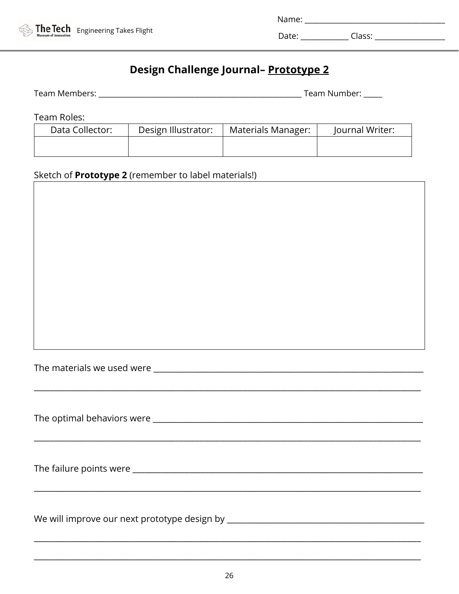

| Name: |  |
|-------|--|
|       |  |

### Design Challenge Journal- Prototype 2

| Team Members: | Team Number: ' |
|---------------|----------------|
|---------------|----------------|

Team Roles:

Γ

| Data Collector: | Design Illustrator: | <b>Materials Manager:</b> | Journal Writer: |
|-----------------|---------------------|---------------------------|-----------------|
|                 |                     |                           |                 |
|                 |                     |                           |                 |

### Sketch of **Prototype 2** (remember to label materials!)

| <u> 1989 - Johann Stoff, deutscher Stoff, der Stoff, der Stoff, der Stoff, der Stoff, der Stoff, der Stoff, der S</u> |
|-----------------------------------------------------------------------------------------------------------------------|
|                                                                                                                       |
|                                                                                                                       |
| We will improve our next prototype design by ________                                                                 |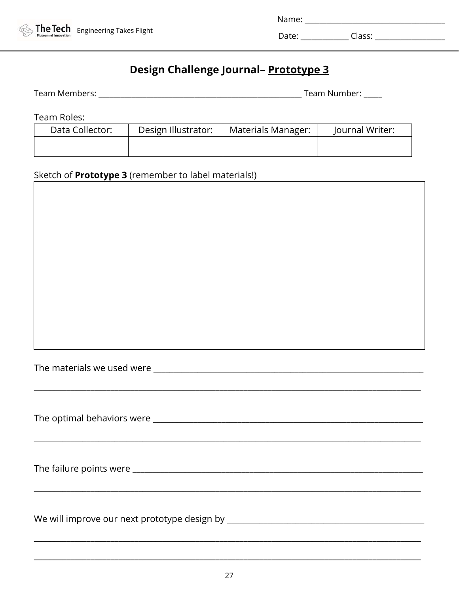

| Name: |  |
|-------|--|
|       |  |

### Design Challenge Journal- Prototype 3

| Team Members: | Team Number: ' |
|---------------|----------------|
|---------------|----------------|

Team Roles:

| Data Collector: | Design Illustrator: | Materials Manager: | Journal Writer: |
|-----------------|---------------------|--------------------|-----------------|
|                 |                     |                    |                 |

#### Sketch of **Prototype 3** (remember to label materials!) Г

| ,我们就会在这里的人,我们就会在这里的人,我们就会在这里的人,我们就会在这里,我们就会在这里的人,我们就会在这里,我们就会在这里,我们就会在这里的人,我们就会在 |
|----------------------------------------------------------------------------------|
|                                                                                  |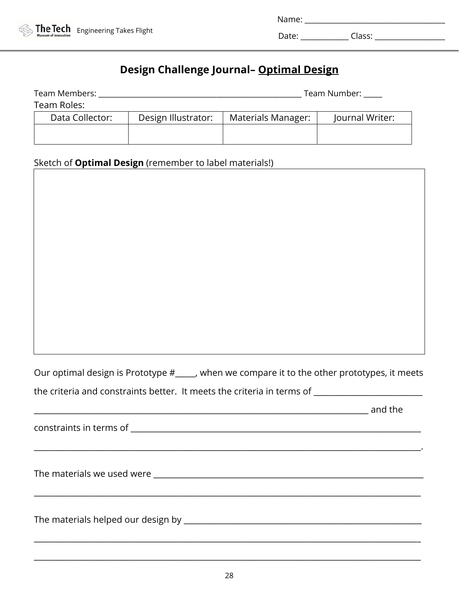

| Name <sup>.</sup> |  |
|-------------------|--|
|                   |  |

Date: \_\_\_\_\_\_\_\_\_\_\_\_\_ Class: \_\_\_\_\_\_\_\_\_\_\_\_\_\_\_\_\_\_\_

### **Design Challenge Journal– Optimal Design**

| Team Members:   |                     | Team Number:       |                 |  |
|-----------------|---------------------|--------------------|-----------------|--|
| Team Roles:     |                     |                    |                 |  |
| Data Collector: | Design Illustrator: | Materials Manager: | Journal Writer: |  |
|                 |                     |                    |                 |  |
|                 |                     |                    |                 |  |

# Sketch of **Optimal Design** (remember to label materials!)

Our optimal design is Prototype #\_\_\_\_\_, when we compare it to the other prototypes, it meets the criteria and constraints better. It meets the criteria in terms of \_\_\_\_\_\_\_\_\_\_

| and the |
|---------|
|         |
|         |
|         |
|         |
|         |
|         |

\_\_\_\_\_\_\_\_\_\_\_\_\_\_\_\_\_\_\_\_\_\_\_\_\_\_\_\_\_\_\_\_\_\_\_\_\_\_\_\_\_\_\_\_\_\_\_\_\_\_\_\_\_\_\_\_\_\_\_\_\_\_\_\_\_\_\_\_\_\_\_\_\_\_\_\_\_\_\_\_\_\_\_\_\_\_\_\_\_\_\_\_\_\_\_\_